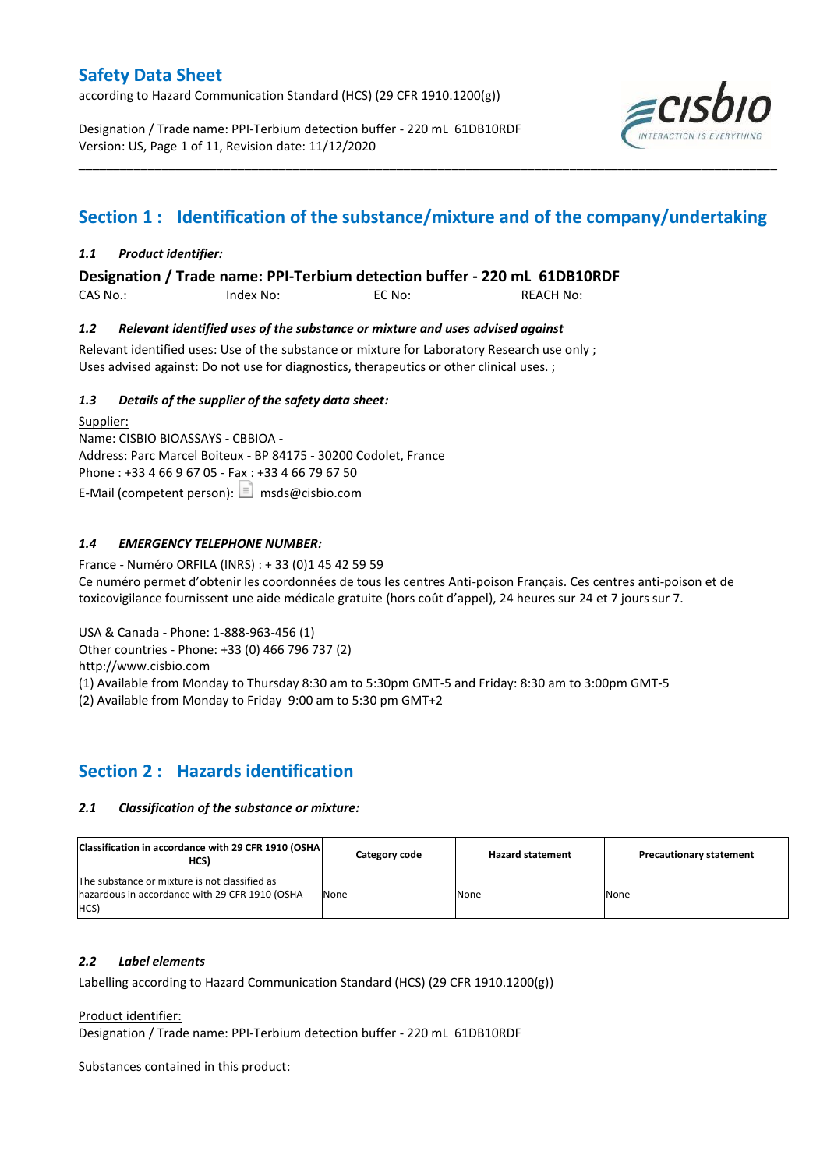according to Hazard Communication Standard (HCS) (29 CFR 1910.1200(g))

Designation / Trade name: PPI-Terbium detection buffer - 220 mL 61DB10RDF Version: US, Page 1 of 11, Revision date: 11/12/2020



# **Section 1 : Identification of the substance/mixture and of the company/undertaking**

\_\_\_\_\_\_\_\_\_\_\_\_\_\_\_\_\_\_\_\_\_\_\_\_\_\_\_\_\_\_\_\_\_\_\_\_\_\_\_\_\_\_\_\_\_\_\_\_\_\_\_\_\_\_\_\_\_\_\_\_\_\_\_\_\_\_\_\_\_\_\_\_\_\_\_\_\_\_\_\_\_\_\_\_\_\_\_\_\_\_\_\_\_\_\_\_\_\_\_\_\_

## *1.1 Product identifier:*

**Designation / Trade name: PPI-Terbium detection buffer - 220 mL 61DB10RDF** 

CAS No.: Index No: EC No: REACH No:

### *1.2 Relevant identified uses of the substance or mixture and uses advised against*

Relevant identified uses: Use of the substance or mixture for Laboratory Research use only ; Uses advised against: Do not use for diagnostics, therapeutics or other clinical uses. ;

### *1.3 Details of the supplier of the safety data sheet:*

Supplier: Name: CISBIO BIOASSAYS - CBBIOA - Address: Parc Marcel Boiteux - BP 84175 - 30200 Codolet, France Phone : +33 4 66 9 67 05 - Fax : +33 4 66 79 67 50 E-Mail (competent person):  $\boxed{\equiv}$  msds@cisbio.com

## *1.4 EMERGENCY TELEPHONE NUMBER:*

France - Numéro ORFILA (INRS) : + 33 (0)1 45 42 59 59 Ce numéro permet d'obtenir les coordonnées de tous les centres Anti-poison Français. Ces centres anti-poison et de toxicovigilance fournissent une aide médicale gratuite (hors coût d'appel), 24 heures sur 24 et 7 jours sur 7.

USA & Canada - Phone: 1-888-963-456 (1)

Other countries - Phone: +33 (0) 466 796 737 (2)

http://www.cisbio.com

(1) Available from Monday to Thursday 8:30 am to 5:30pm GMT-5 and Friday: 8:30 am to 3:00pm GMT-5

(2) Available from Monday to Friday 9:00 am to 5:30 pm GMT+2

# **Section 2 : Hazards identification**

#### *2.1 Classification of the substance or mixture:*

| Classification in accordance with 29 CFR 1910 (OSHA)<br>HCS)                                            | Category code | <b>Hazard statement</b> | <b>Precautionary statement</b> |
|---------------------------------------------------------------------------------------------------------|---------------|-------------------------|--------------------------------|
| The substance or mixture is not classified as<br>hazardous in accordance with 29 CFR 1910 (OSHA<br>HCS) | None          | None                    | None                           |

#### *2.2 Label elements*

Labelling according to Hazard Communication Standard (HCS) (29 CFR 1910.1200(g))

Product identifier:

Designation / Trade name: PPI-Terbium detection buffer - 220 mL 61DB10RDF

Substances contained in this product: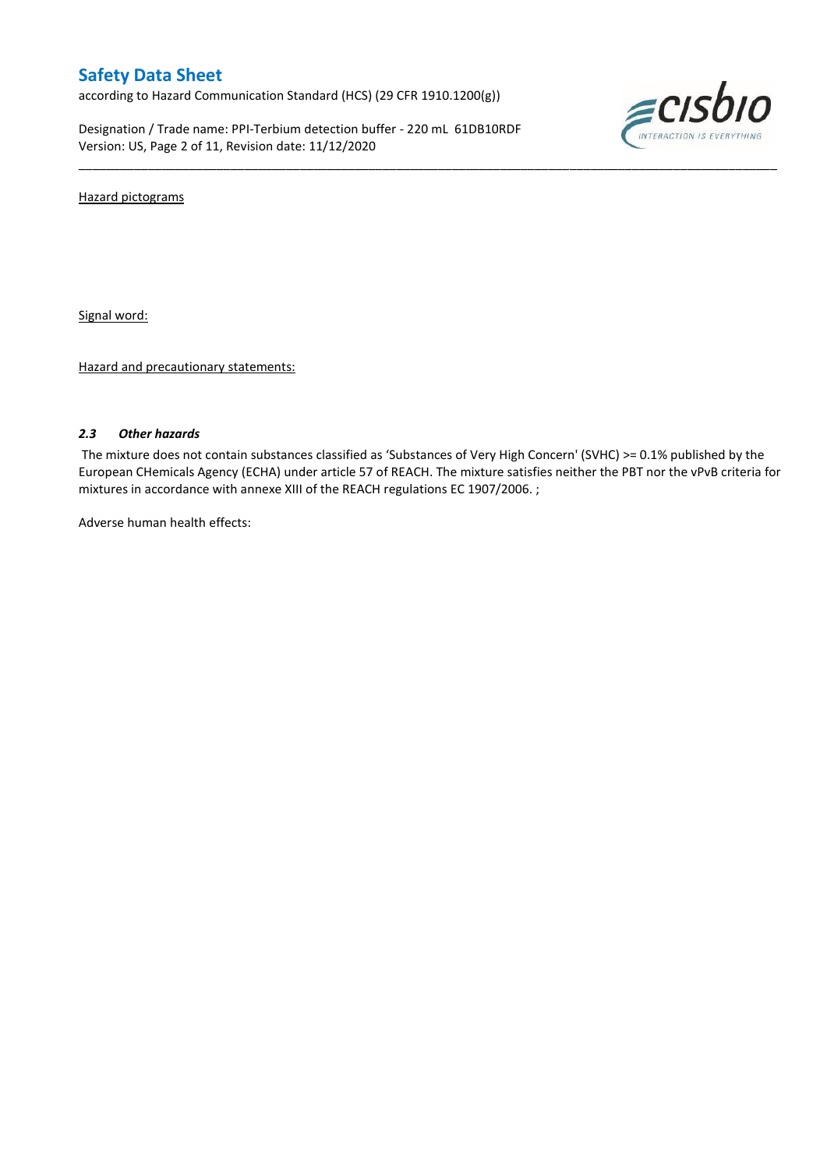according to Hazard Communication Standard (HCS) (29 CFR 1910.1200(g))

Designation / Trade name: PPI-Terbium detection buffer - 220 mL 61DB10RDF Version: US, Page 2 of 11, Revision date: 11/12/2020



Hazard pictograms

Signal word:

Hazard and precautionary statements:

#### *2.3 Other hazards*

The mixture does not contain substances classified as 'Substances of Very High Concern' (SVHC) >= 0.1% published by the European CHemicals Agency (ECHA) under article 57 of REACH. The mixture satisfies neither the PBT nor the vPvB criteria for mixtures in accordance with annexe XIII of the REACH regulations EC 1907/2006. ;

\_\_\_\_\_\_\_\_\_\_\_\_\_\_\_\_\_\_\_\_\_\_\_\_\_\_\_\_\_\_\_\_\_\_\_\_\_\_\_\_\_\_\_\_\_\_\_\_\_\_\_\_\_\_\_\_\_\_\_\_\_\_\_\_\_\_\_\_\_\_\_\_\_\_\_\_\_\_\_\_\_\_\_\_\_\_\_\_\_\_\_\_\_\_\_\_\_\_\_\_\_

Adverse human health effects: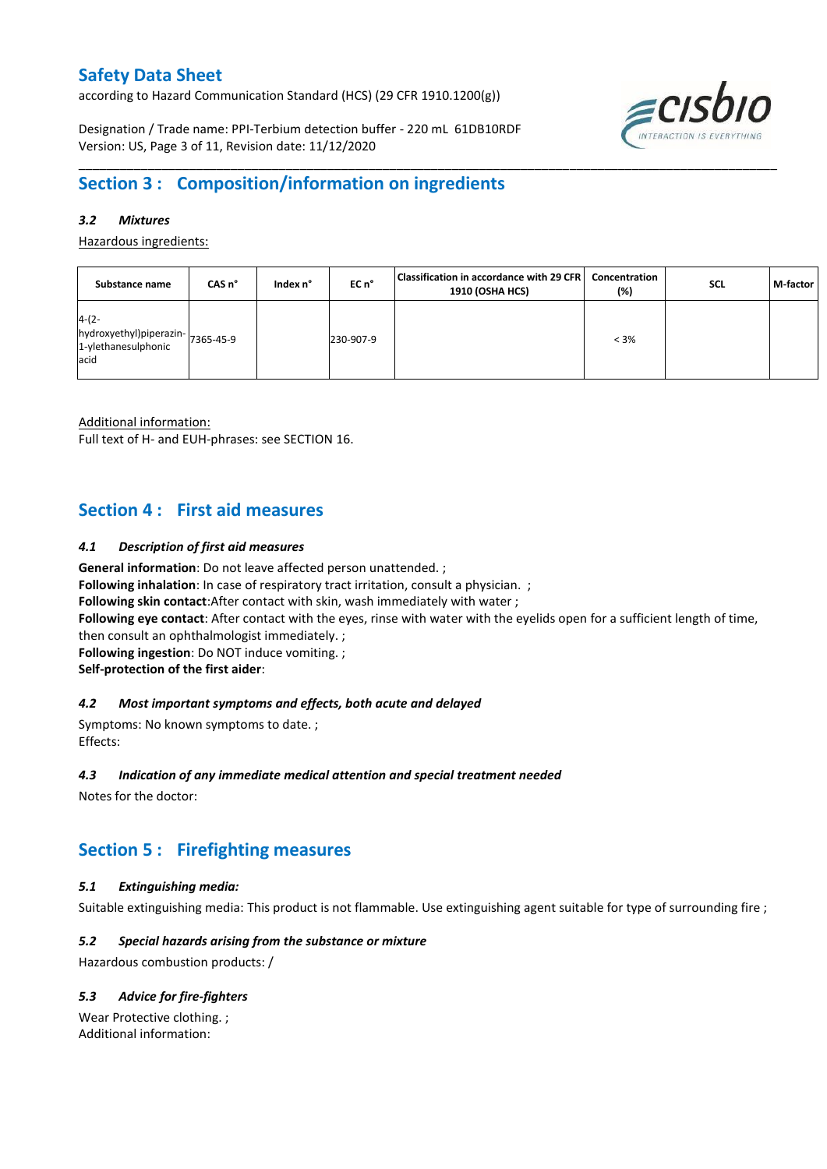according to Hazard Communication Standard (HCS) (29 CFR 1910.1200(g))

Designation / Trade name: PPI-Terbium detection buffer - 220 mL 61DB10RDF Version: US, Page 3 of 11, Revision date: 11/12/2020



# **Section 3 : Composition/information on ingredients**

### *3.2 Mixtures*

Hazardous ingredients:

| Substance name                                                              | CAS n° | Index n° | EC n°     | Classification in accordance with 29 CFR<br>1910 (OSHA HCS) | Concentration<br>(%) | <b>SCL</b> | M-factor |
|-----------------------------------------------------------------------------|--------|----------|-----------|-------------------------------------------------------------|----------------------|------------|----------|
| $4-(2-$<br>hydroxyethyl)piperazin-7365-45-9<br>1-ylethanesulphonic<br>lacid |        |          | 230-907-9 |                                                             | $< 3\%$              |            |          |

\_\_\_\_\_\_\_\_\_\_\_\_\_\_\_\_\_\_\_\_\_\_\_\_\_\_\_\_\_\_\_\_\_\_\_\_\_\_\_\_\_\_\_\_\_\_\_\_\_\_\_\_\_\_\_\_\_\_\_\_\_\_\_\_\_\_\_\_\_\_\_\_\_\_\_\_\_\_\_\_\_\_\_\_\_\_\_\_\_\_\_\_\_\_\_\_\_\_\_\_\_

Additional information:

Full text of H- and EUH-phrases: see SECTION 16.

# **Section 4 : First aid measures**

#### *4.1 Description of first aid measures*

**General information**: Do not leave affected person unattended. ;

**Following inhalation**: In case of respiratory tract irritation, consult a physician. ;

**Following skin contact**:After contact with skin, wash immediately with water ;

**Following eye contact**: After contact with the eyes, rinse with water with the eyelids open for a sufficient length of time,

then consult an ophthalmologist immediately. ;

**Following ingestion**: Do NOT induce vomiting. ;

**Self-protection of the first aider**:

#### *4.2 Most important symptoms and effects, both acute and delayed*

Symptoms: No known symptoms to date. ; Effects:

#### *4.3 Indication of any immediate medical attention and special treatment needed*

Notes for the doctor:

# **Section 5 : Firefighting measures**

## *5.1 Extinguishing media:*

Suitable extinguishing media: This product is not flammable. Use extinguishing agent suitable for type of surrounding fire ;

## *5.2 Special hazards arising from the substance or mixture*

Hazardous combustion products: /

## *5.3 Advice for fire-fighters*

Wear Protective clothing. ; Additional information: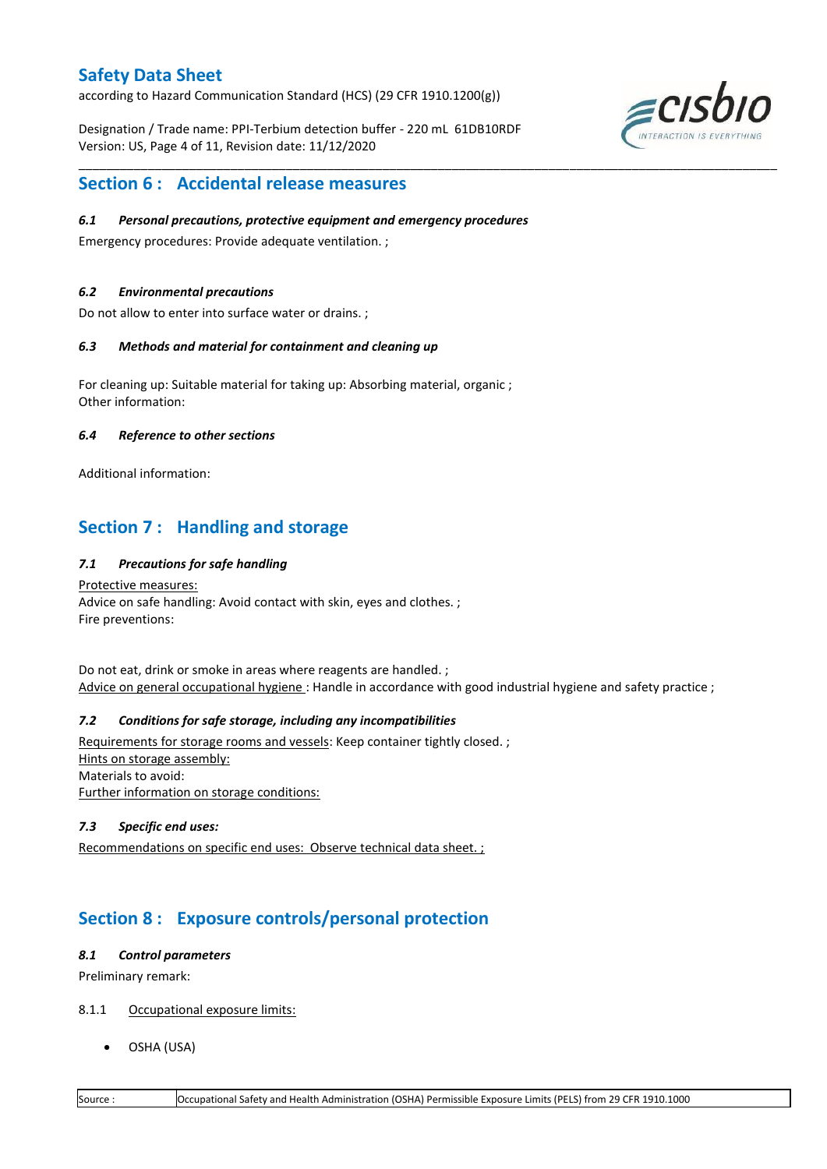according to Hazard Communication Standard (HCS) (29 CFR 1910.1200(g))

Designation / Trade name: PPI-Terbium detection buffer - 220 mL 61DB10RDF Version: US, Page 4 of 11, Revision date: 11/12/2020

\_\_\_\_\_\_\_\_\_\_\_\_\_\_\_\_\_\_\_\_\_\_\_\_\_\_\_\_\_\_\_\_\_\_\_\_\_\_\_\_\_\_\_\_\_\_\_\_\_\_\_\_\_\_\_\_\_\_\_\_\_\_\_\_\_\_\_\_\_\_\_\_\_\_\_\_\_\_\_\_\_\_\_\_\_\_\_\_\_\_\_\_\_\_\_\_\_\_\_\_\_



# **Section 6 : Accidental release measures**

### *6.1 Personal precautions, protective equipment and emergency procedures*

Emergency procedures: Provide adequate ventilation. ;

### *6.2 Environmental precautions*

Do not allow to enter into surface water or drains. ;

### *6.3 Methods and material for containment and cleaning up*

For cleaning up: Suitable material for taking up: Absorbing material, organic ; Other information:

### *6.4 Reference to other sections*

Additional information:

# **Section 7 : Handling and storage**

## *7.1 Precautions for safe handling*

Protective measures: Advice on safe handling: Avoid contact with skin, eyes and clothes. ; Fire preventions:

Do not eat, drink or smoke in areas where reagents are handled. ; Advice on general occupational hygiene: Handle in accordance with good industrial hygiene and safety practice ;

## *7.2 Conditions for safe storage, including any incompatibilities*

Requirements for storage rooms and vessels: Keep container tightly closed. ; Hints on storage assembly: Materials to avoid: Further information on storage conditions:

## *7.3 Specific end uses:*

Recommendations on specific end uses: Observe technical data sheet. ;

# **Section 8 : Exposure controls/personal protection**

#### *8.1 Control parameters*

Preliminary remark:

- 8.1.1 Occupational exposure limits:
	- OSHA (USA)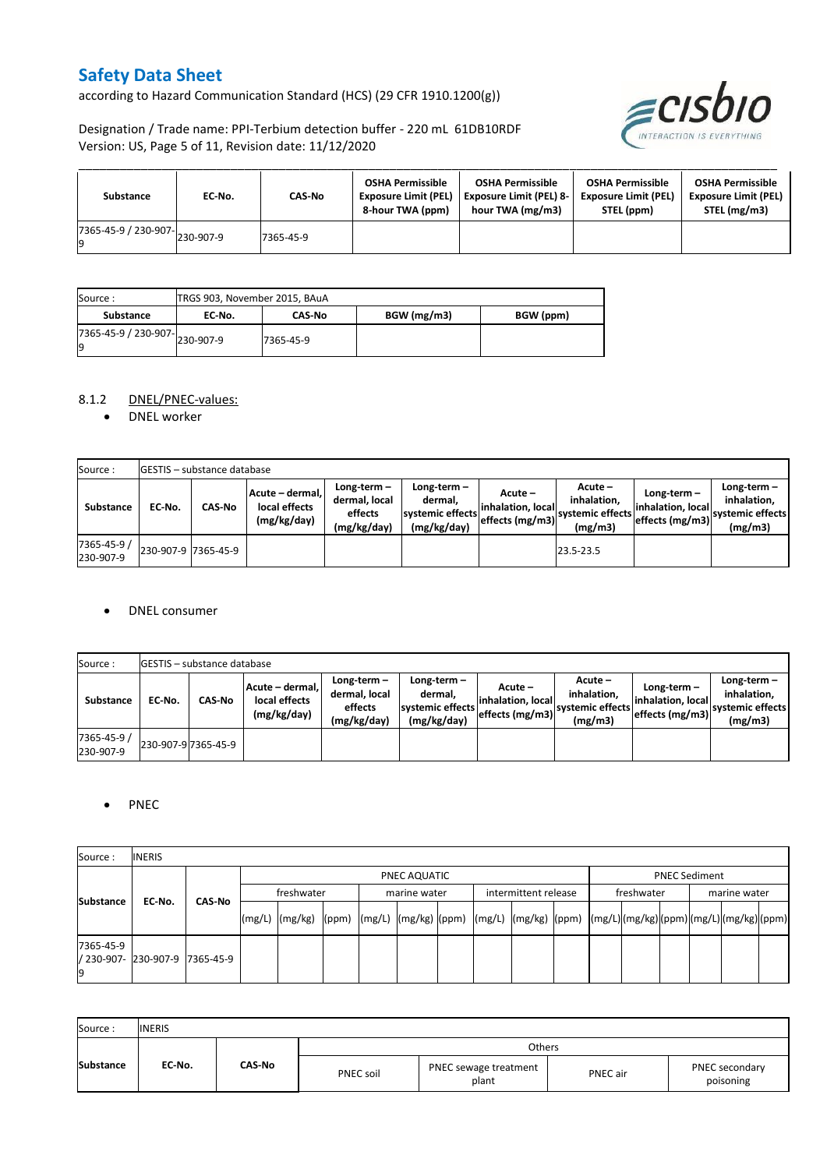according to Hazard Communication Standard (HCS) (29 CFR 1910.1200(g))



Designation / Trade name: PPI-Terbium detection buffer - 220 mL 61DB10RDF Version: US, Page 5 of 11, Revision date: 11/12/2020

| Substance                             | EC No. | CAS-No    | <b>OSHA Permissible</b><br><b>Exposure Limit (PEL)</b><br>8-hour TWA (ppm) | <b>OSHA Permissible</b><br><b>Exposure Limit (PEL) 8-</b><br>hour TWA (mg/m3) | <b>OSHA Permissible</b><br><b>Exposure Limit (PEL)</b><br>STEL (ppm) | <b>OSHA Permissible</b><br><b>Exposure Limit (PEL)</b><br>STEL (mg/m3) |
|---------------------------------------|--------|-----------|----------------------------------------------------------------------------|-------------------------------------------------------------------------------|----------------------------------------------------------------------|------------------------------------------------------------------------|
| $(7365-45-9)$ / 230-907-<br>230-907-9 |        | 7365-45-9 |                                                                            |                                                                               |                                                                      |                                                                        |

| Source :                           |        | TRGS 903, November 2015, BAuA |             |           |  |  |  |  |
|------------------------------------|--------|-------------------------------|-------------|-----------|--|--|--|--|
| Substance                          | EC No. | <b>CAS-No</b>                 | BGW (mg/m3) | BGW (ppm) |  |  |  |  |
| 7365-45-9 / 230-907-230-907-9<br>g |        | 7365-45-9                     |             |           |  |  |  |  |

## 8.1.2 DNEL/PNEC-values:

• DNEL worker

| Source:                  |                     | <b>IGESTIS - substance database</b> |                                                 |                                                          |                                                             |                                                   |                                                       |                                                        |                                                             |  |
|--------------------------|---------------------|-------------------------------------|-------------------------------------------------|----------------------------------------------------------|-------------------------------------------------------------|---------------------------------------------------|-------------------------------------------------------|--------------------------------------------------------|-------------------------------------------------------------|--|
| Substance                | EC No.              | <b>CAS-No</b>                       | Acute - dermal.<br>local effects<br>(mg/kg/day) | Long-term $-$<br>dermal, local<br>effects<br>(mg/kg/day) | Long-term $-$<br>dermal.<br>systemic effects<br>(mg/kg/day) | Acute –<br>linhalation. locall<br>effects (mg/m3) | Acute –<br>inhalation.<br>svstemic effects<br>(mg/m3) | Long-term $-$<br>linhalation. local<br>effects (mg/m3) | $Long-term -$<br>inhalation.<br>systemic effects<br>(mg/m3) |  |
| 7365-45-9 /<br>230-907-9 | 230-907-9 7365-45-9 |                                     |                                                 |                                                          |                                                             |                                                   | 23.5-23.5                                             |                                                        |                                                             |  |

#### DNEL consumer

| Source:                  |        | <b>GESTIS</b> - substance database |                                                 |                                                          |                                                             |                                                  |                                                       |                                                     |                                                             |
|--------------------------|--------|------------------------------------|-------------------------------------------------|----------------------------------------------------------|-------------------------------------------------------------|--------------------------------------------------|-------------------------------------------------------|-----------------------------------------------------|-------------------------------------------------------------|
| <b>Substance</b>         | EC No. | <b>CAS-No</b>                      | Acute - dermal.<br>local effects<br>(mg/kg/day) | Long-term $-$<br>dermal, local<br>effects<br>(mg/kg/day) | Long-term $-$<br>dermal.<br>systemic effects<br>(mg/kg/day) | Acute –<br>linhalation. local<br>effects (mg/m3) | Acute -<br>inhalation.<br>systemic effects<br>(mg/m3) | Long-term-<br>linhalation. local<br>effects (mg/m3) | Long-term $-$<br>inhalation.<br>systemic effects<br>(mg/m3) |
| 7365-45-9 /<br>230-907-9 |        | 230-907-9 7365-45-9                |                                                 |                                                          |                                                             |                                                  |                                                       |                                                     |                                                             |

## • PNEC

| Source:          | <b>INERIS</b>                  |  |        |                                                                                                                                                                                                                                                                                                                                                                                                                                                                   |  |  |              |  |                      |  |            |                      |  |              |  |  |  |
|------------------|--------------------------------|--|--------|-------------------------------------------------------------------------------------------------------------------------------------------------------------------------------------------------------------------------------------------------------------------------------------------------------------------------------------------------------------------------------------------------------------------------------------------------------------------|--|--|--------------|--|----------------------|--|------------|----------------------|--|--------------|--|--|--|
|                  |                                |  |        | PNEC AQUATIC                                                                                                                                                                                                                                                                                                                                                                                                                                                      |  |  |              |  |                      |  |            | <b>PNEC Sediment</b> |  |              |  |  |  |
| <b>Substance</b> | CAS No                         |  |        | freshwater                                                                                                                                                                                                                                                                                                                                                                                                                                                        |  |  | marine water |  | intermittent release |  | freshwater |                      |  | marine water |  |  |  |
|                  | EC-No.                         |  | (mg/L) | $\lceil \frac{\text{mg}}{\text{mg}} \rceil \text{g} \rceil \text{g} \rceil \text{g} \rceil \text{g} \rceil \text{g} \rceil \text{g} \rceil \text{g} \rceil \text{g} \rceil \text{g} \rceil \text{g} \rceil \text{g} \rceil \text{g} \rceil \text{g} \rceil \text{g} \rceil \text{g} \rceil \text{g} \rceil \text{g} \rceil \text{g} \rceil \text{g} \rceil \text{g} \rceil \text{g} \rceil \text{g} \rceil \text{g} \rceil \text{g} \rceil \text{g} \rceil \text$ |  |  |              |  |                      |  |            |                      |  |              |  |  |  |
| 7365-45-9        | / 230-907- 230-907-9 7365-45-9 |  |        |                                                                                                                                                                                                                                                                                                                                                                                                                                                                   |  |  |              |  |                      |  |            |                      |  |              |  |  |  |

| Source:          | <b>INERIS</b> |        |                  |                                |          |                             |
|------------------|---------------|--------|------------------|--------------------------------|----------|-----------------------------|
|                  |               |        |                  | Others                         |          |                             |
| <b>Substance</b> | EC-No.        | CAS-No | <b>PNEC soil</b> | PNEC sewage treatment<br>plant | PNEC air | PNEC secondary<br>poisoning |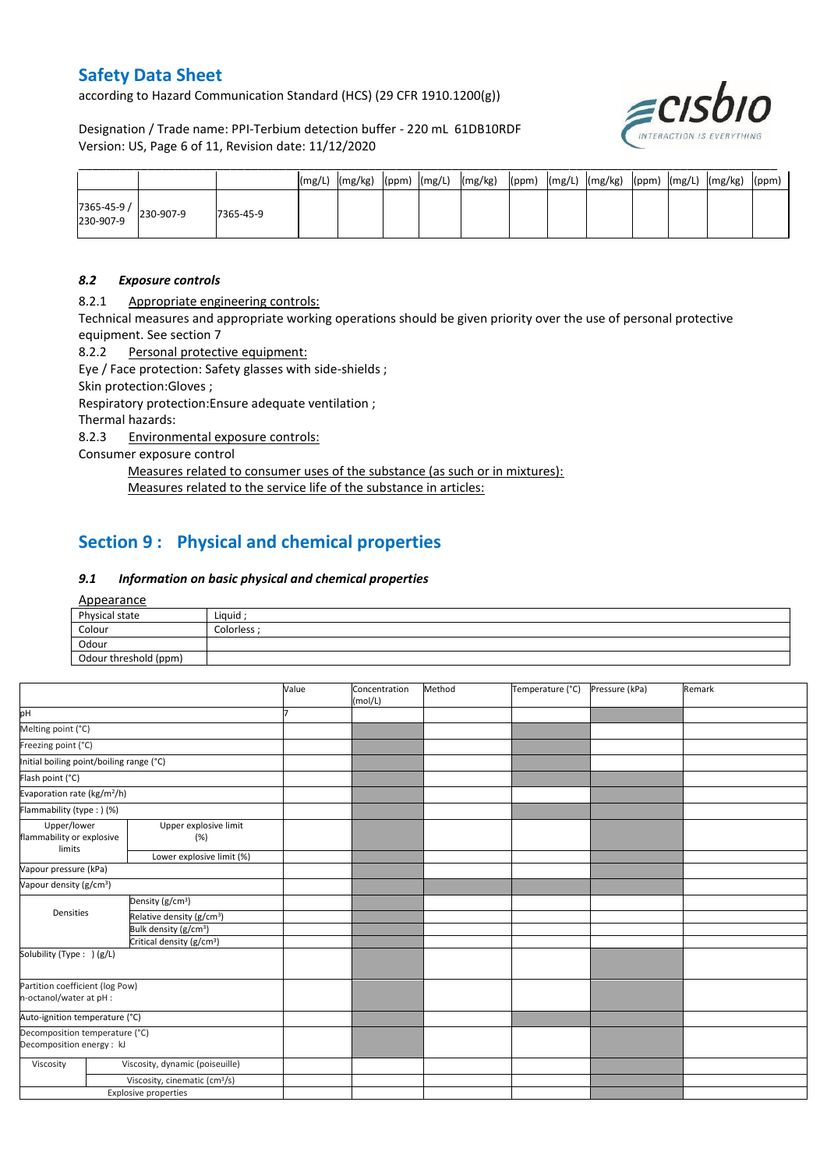according to Hazard Communication Standard (HCS) (29 CFR 1910.1200(g))

Designation / Trade name: PPI-Terbium detection buffer - 220 mL 61DB10RDF Version: US, Page 6 of 11, Revision date: 11/12/2020



|                         |           |           | (mg/L) | (mg/kg) | $(ppm)$ $(mg/L)$ | (mg/kg) | (ppm) | (mg/L) | (mg/kg) | (ppm) | (mg/L) | (mg/kg) | (ppm) |
|-------------------------|-----------|-----------|--------|---------|------------------|---------|-------|--------|---------|-------|--------|---------|-------|
| 7365-45-9/<br>230-907-9 | 230-907-9 | 7365-45-9 |        |         |                  |         |       |        |         |       |        |         |       |

#### *8.2 Exposure controls*

8.2.1 Appropriate engineering controls:

Technical measures and appropriate working operations should be given priority over the use of personal protective equipment. See section 7

8.2.2 Personal protective equipment:

Eye / Face protection: Safety glasses with side-shields ;

Skin protection:Gloves ;

Respiratory protection:Ensure adequate ventilation ;

Thermal hazards:

8.2.3 Environmental exposure controls:

Consumer exposure control

Measures related to consumer uses of the substance (as such or in mixtures): Measures related to the service life of the substance in articles:

# **Section 9 : Physical and chemical properties**

### *9.1 Information on basic physical and chemical properties*

Appearance

| Physical state        | Liquid ;    |
|-----------------------|-------------|
| Colour                | Colorless ; |
| Odour                 |             |
| Odour threshold (ppm) |             |

|                                                             |                                           | Value | Concentration<br>(mol/L) | Method | Temperature (°C) | Pressure (kPa) | Remark |
|-------------------------------------------------------------|-------------------------------------------|-------|--------------------------|--------|------------------|----------------|--------|
| pH                                                          |                                           |       |                          |        |                  |                |        |
| Melting point (°C)                                          |                                           |       |                          |        |                  |                |        |
| Freezing point (°C)                                         |                                           |       |                          |        |                  |                |        |
| Initial boiling point/boiling range (°C)                    |                                           |       |                          |        |                  |                |        |
| Flash point (°C)                                            |                                           |       |                          |        |                  |                |        |
| Evaporation rate (kg/m <sup>2</sup> /h)                     |                                           |       |                          |        |                  |                |        |
| Flammability (type : ) (%)                                  |                                           |       |                          |        |                  |                |        |
| Upper/lower<br>flammability or explosive<br>limits          | Upper explosive limit<br>(%)              |       |                          |        |                  |                |        |
|                                                             | Lower explosive limit (%)                 |       |                          |        |                  |                |        |
| Vapour pressure (kPa)                                       |                                           |       |                          |        |                  |                |        |
| Vapour density (g/cm <sup>3</sup> )                         |                                           |       |                          |        |                  |                |        |
|                                                             | Density (g/cm <sup>3</sup> )              |       |                          |        |                  |                |        |
| Densities                                                   | Relative density (g/cm <sup>3</sup> )     |       |                          |        |                  |                |        |
|                                                             | Bulk density (g/cm <sup>3</sup> )         |       |                          |        |                  |                |        |
|                                                             | Critical density (g/cm <sup>3</sup> )     |       |                          |        |                  |                |        |
| Solubility (Type: ) (g/L)                                   |                                           |       |                          |        |                  |                |        |
| Partition coefficient (log Pow)<br>n-octanol/water at pH :  |                                           |       |                          |        |                  |                |        |
| Auto-ignition temperature (°C)                              |                                           |       |                          |        |                  |                |        |
| Decomposition temperature (°C)<br>Decomposition energy : kJ |                                           |       |                          |        |                  |                |        |
| Viscosity                                                   | Viscosity, dynamic (poiseuille)           |       |                          |        |                  |                |        |
|                                                             | Viscosity, cinematic (cm <sup>3</sup> /s) |       |                          |        |                  |                |        |
|                                                             | <b>Explosive properties</b>               |       |                          |        |                  |                |        |
|                                                             |                                           |       |                          |        |                  |                |        |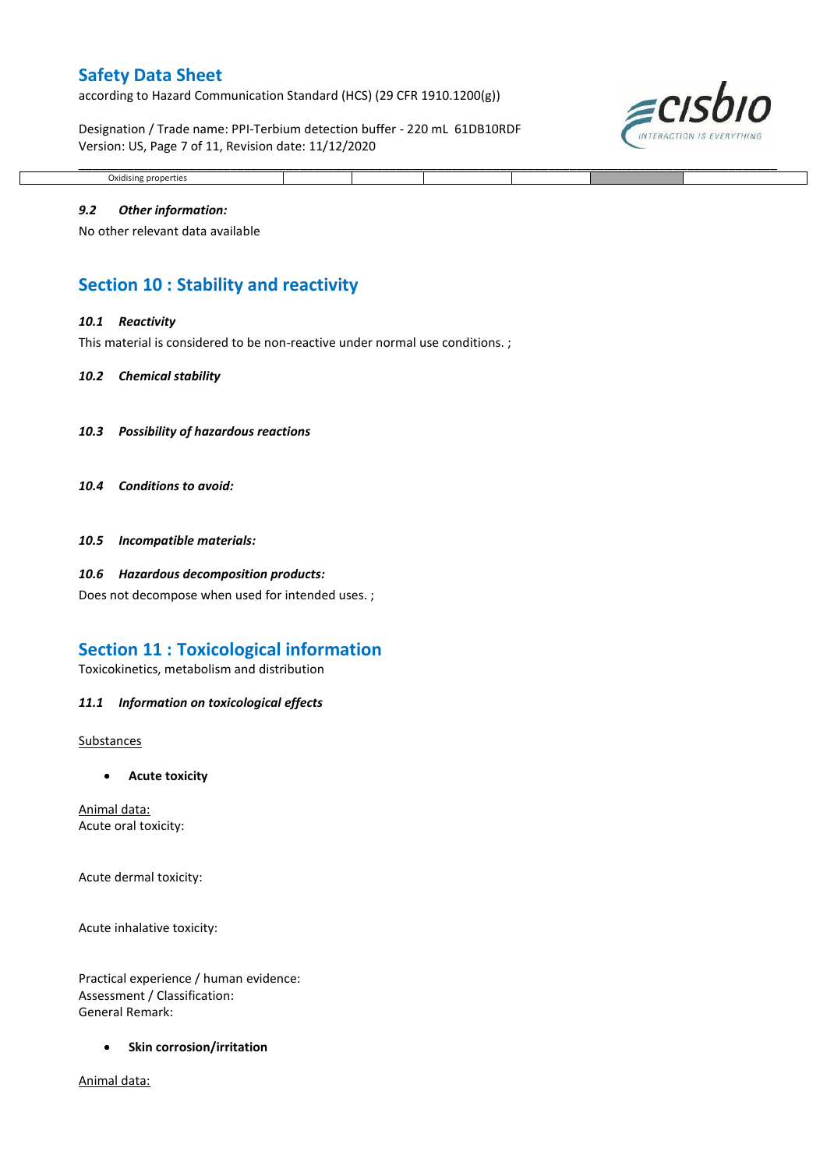according to Hazard Communication Standard (HCS) (29 CFR 1910.1200(g))

Designation / Trade name: PPI-Terbium detection buffer - 220 mL 61DB10RDF Version: US, Page 7 of 11, Revision date: 11/12/2020



#### \_\_\_\_\_\_\_\_\_\_\_\_\_\_\_\_\_\_\_\_\_\_\_\_\_\_\_\_\_\_\_\_\_\_\_\_\_\_\_\_\_\_\_\_\_\_\_\_\_\_\_\_\_\_\_\_\_\_\_\_\_\_\_\_\_\_\_\_\_\_\_\_\_\_\_\_\_\_\_\_\_\_\_\_\_\_\_\_\_\_\_\_\_\_\_\_\_\_\_\_\_ Oxidising properties

#### *9.2 Other information:*

No other relevant data available

# **Section 10 : Stability and reactivity**

#### *10.1 Reactivity*

This material is considered to be non-reactive under normal use conditions.;

#### *10.2 Chemical stability*

- *10.3 Possibility of hazardous reactions*
- *10.4 Conditions to avoid:*
- *10.5 Incompatible materials:*

#### *10.6 Hazardous decomposition products:*

Does not decompose when used for intended uses. ;

## **Section 11 : Toxicological information**

Toxicokinetics, metabolism and distribution

#### *11.1 Information on toxicological effects*

Substances

**Acute toxicity**

Animal data: Acute oral toxicity:

Acute dermal toxicity:

Acute inhalative toxicity:

Practical experience / human evidence: Assessment / Classification: General Remark:

**•** Skin corrosion/irritation

Animal data: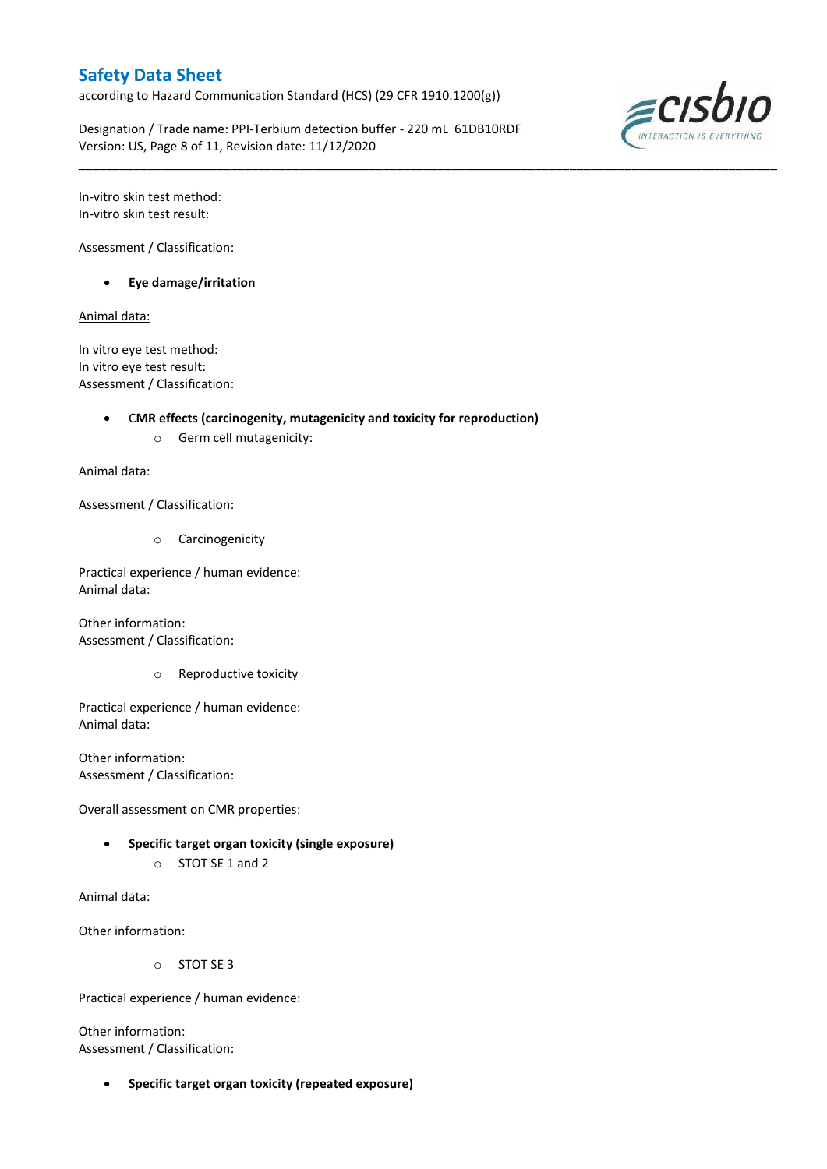according to Hazard Communication Standard (HCS) (29 CFR 1910.1200(g))

Designation / Trade name: PPI-Terbium detection buffer - 220 mL 61DB10RDF Version: US, Page 8 of 11, Revision date: 11/12/2020

\_\_\_\_\_\_\_\_\_\_\_\_\_\_\_\_\_\_\_\_\_\_\_\_\_\_\_\_\_\_\_\_\_\_\_\_\_\_\_\_\_\_\_\_\_\_\_\_\_\_\_\_\_\_\_\_\_\_\_\_\_\_\_\_\_\_\_\_\_\_\_\_\_\_\_\_\_\_\_\_\_\_\_\_\_\_\_\_\_\_\_\_\_\_\_\_\_\_\_\_\_



In-vitro skin test method: In-vitro skin test result:

Assessment / Classification:

**Eye damage/irritation**

Animal data:

In vitro eye test method: In vitro eye test result: Assessment / Classification:

### C**MR effects (carcinogenity, mutagenicity and toxicity for reproduction)**

o Germ cell mutagenicity:

Animal data:

Assessment / Classification:

o Carcinogenicity

Practical experience / human evidence: Animal data:

Other information: Assessment / Classification:

o Reproductive toxicity

Practical experience / human evidence: Animal data:

Other information: Assessment / Classification:

Overall assessment on CMR properties:

- **Specific target organ toxicity (single exposure)**
	- o STOT SE 1 and 2

Animal data:

Other information:

o STOT SE 3

Practical experience / human evidence:

Other information: Assessment / Classification:

**Specific target organ toxicity (repeated exposure)**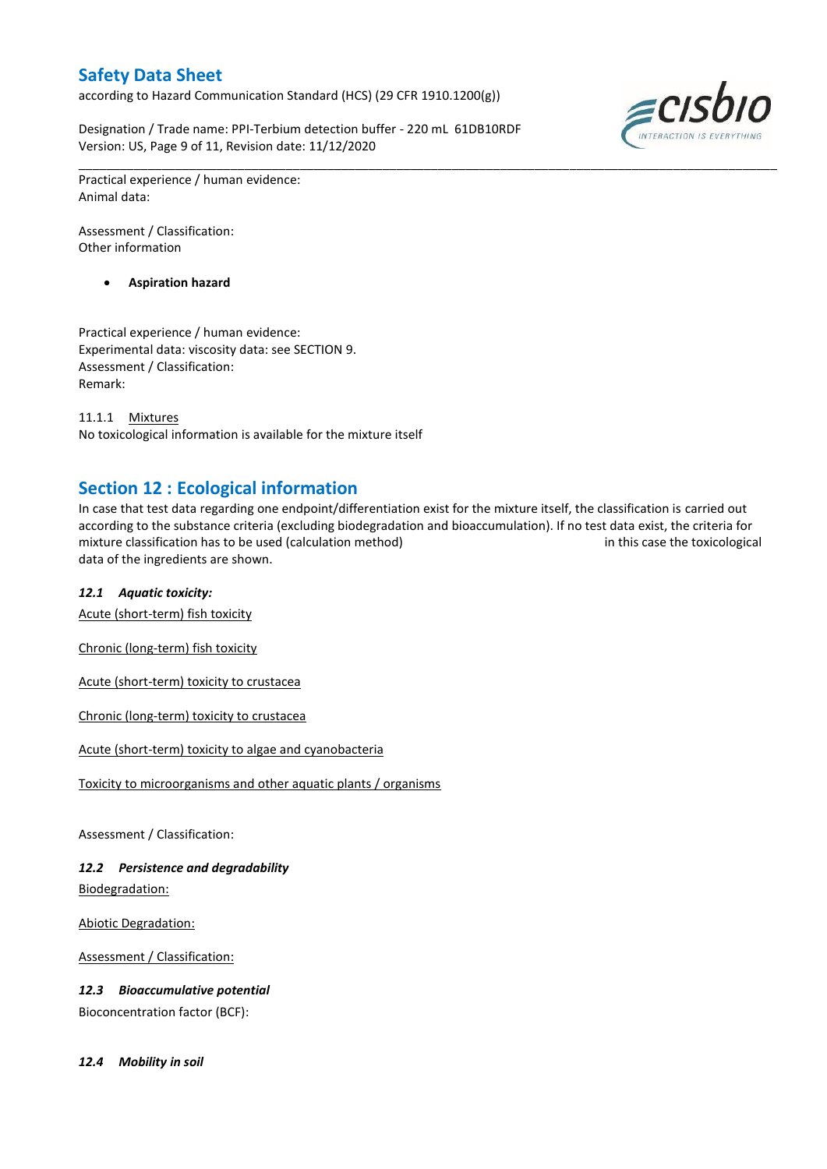according to Hazard Communication Standard (HCS) (29 CFR 1910.1200(g))

Designation / Trade name: PPI-Terbium detection buffer - 220 mL 61DB10RDF Version: US, Page 9 of 11, Revision date: 11/12/2020



Practical experience / human evidence: Animal data:

Assessment / Classification: Other information

**Aspiration hazard**

Practical experience / human evidence: Experimental data: viscosity data: see SECTION 9. Assessment / Classification: Remark:

11.1.1 Mixtures No toxicological information is available for the mixture itself

# **Section 12 : Ecological information**

In case that test data regarding one endpoint/differentiation exist for the mixture itself, the classification is carried out according to the substance criteria (excluding biodegradation and bioaccumulation). If no test data exist, the criteria for mixture classification has to be used (calculation method) in this case the toxicological data of the ingredients are shown.

\_\_\_\_\_\_\_\_\_\_\_\_\_\_\_\_\_\_\_\_\_\_\_\_\_\_\_\_\_\_\_\_\_\_\_\_\_\_\_\_\_\_\_\_\_\_\_\_\_\_\_\_\_\_\_\_\_\_\_\_\_\_\_\_\_\_\_\_\_\_\_\_\_\_\_\_\_\_\_\_\_\_\_\_\_\_\_\_\_\_\_\_\_\_\_\_\_\_\_\_\_

## *12.1 Aquatic toxicity:*

Acute (short-term) fish toxicity

Chronic (long-term) fish toxicity

Acute (short-term) toxicity to crustacea

Chronic (long-term) toxicity to crustacea

Acute (short-term) toxicity to algae and cyanobacteria

Toxicity to microorganisms and other aquatic plants / organisms

Assessment / Classification:

## *12.2 Persistence and degradability*

Biodegradation:

Abiotic Degradation:

Assessment / Classification:

*12.3 Bioaccumulative potential*

Bioconcentration factor (BCF):

*12.4 Mobility in soil*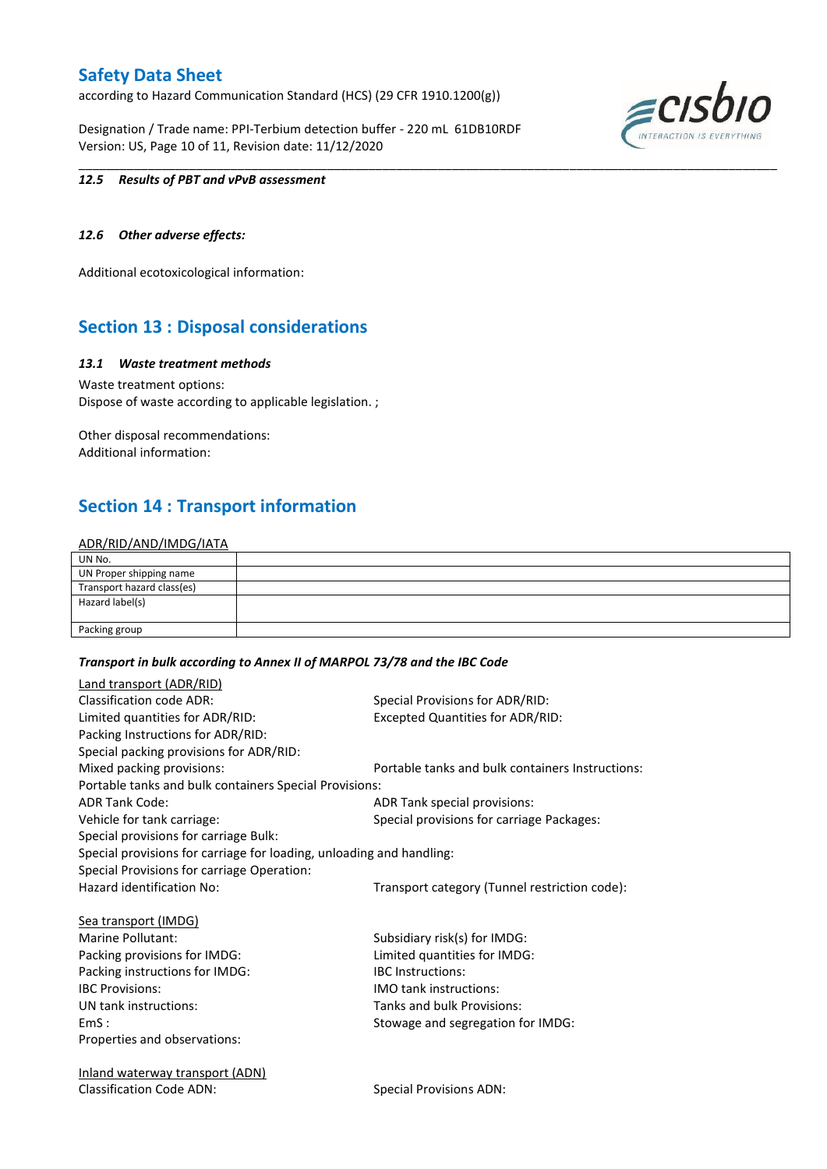according to Hazard Communication Standard (HCS) (29 CFR 1910.1200(g))

Designation / Trade name: PPI-Terbium detection buffer - 220 mL 61DB10RDF Version: US, Page 10 of 11, Revision date: 11/12/2020



#### *12.5 Results of PBT and vPvB assessment*

### *12.6 Other adverse effects:*

Additional ecotoxicological information:

# **Section 13 : Disposal considerations**

#### *13.1 Waste treatment methods*

Waste treatment options: Dispose of waste according to applicable legislation. ;

Other disposal recommendations: Additional information:

# **Section 14 : Transport information**

### ADR/RID/AND/IMDG/IATA

| UN No.                     |  |
|----------------------------|--|
| UN Proper shipping name    |  |
| Transport hazard class(es) |  |
| Hazard label(s)            |  |
|                            |  |
| Packing group              |  |

\_\_\_\_\_\_\_\_\_\_\_\_\_\_\_\_\_\_\_\_\_\_\_\_\_\_\_\_\_\_\_\_\_\_\_\_\_\_\_\_\_\_\_\_\_\_\_\_\_\_\_\_\_\_\_\_\_\_\_\_\_\_\_\_\_\_\_\_\_\_\_\_\_\_\_\_\_\_\_\_\_\_\_\_\_\_\_\_\_\_\_\_\_\_\_\_\_\_\_\_\_

#### *Transport in bulk according to Annex II of MARPOL 73/78 and the IBC Code*

| Land transport (ADR/RID)                                             |                                                  |
|----------------------------------------------------------------------|--------------------------------------------------|
| <b>Classification code ADR:</b>                                      | Special Provisions for ADR/RID:                  |
| Limited quantities for ADR/RID:                                      | <b>Excepted Quantities for ADR/RID:</b>          |
| Packing Instructions for ADR/RID:                                    |                                                  |
| Special packing provisions for ADR/RID:                              |                                                  |
| Mixed packing provisions:                                            | Portable tanks and bulk containers Instructions: |
| Portable tanks and bulk containers Special Provisions:               |                                                  |
| <b>ADR Tank Code:</b>                                                | ADR Tank special provisions:                     |
| Vehicle for tank carriage:                                           | Special provisions for carriage Packages:        |
| Special provisions for carriage Bulk:                                |                                                  |
| Special provisions for carriage for loading, unloading and handling: |                                                  |
| Special Provisions for carriage Operation:                           |                                                  |
| Hazard identification No:                                            | Transport category (Tunnel restriction code):    |
| Sea transport (IMDG)                                                 |                                                  |
| Marine Pollutant:                                                    | Subsidiary risk(s) for IMDG:                     |
| Packing provisions for IMDG:                                         | Limited quantities for IMDG:                     |
| Packing instructions for IMDG:                                       | <b>IBC</b> Instructions:                         |
| <b>IBC Provisions:</b>                                               | <b>IMO tank instructions:</b>                    |
| UN tank instructions:                                                | Tanks and bulk Provisions:                       |
| EmS:                                                                 | Stowage and segregation for IMDG:                |
| Properties and observations:                                         |                                                  |
| <u>Inland waterway transport (ADN)</u>                               |                                                  |
| <b>Classification Code ADN:</b>                                      | <b>Special Provisions ADN:</b>                   |